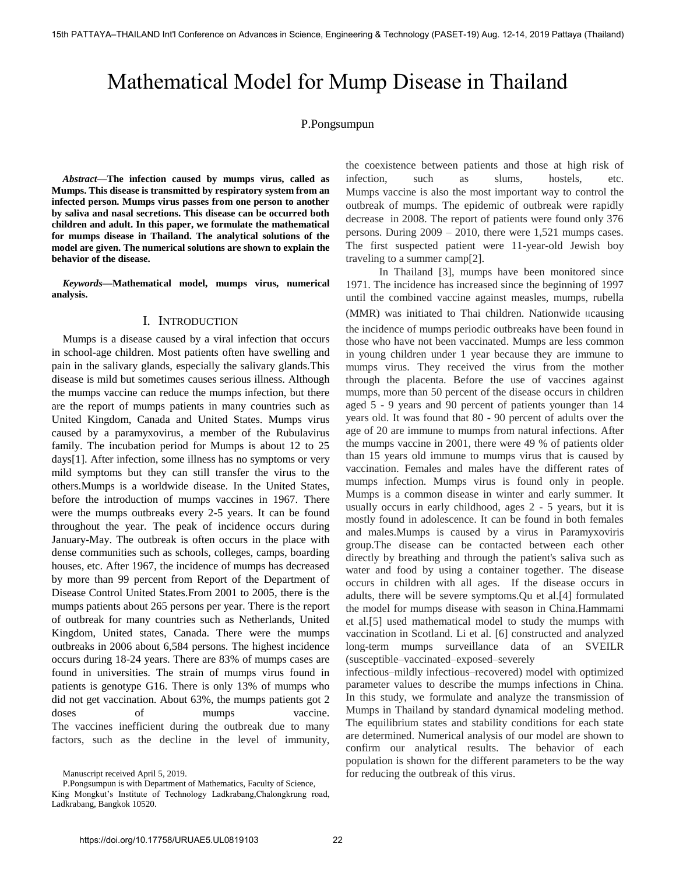# Mathematical Model for Mump Disease in Thailand

# P.Pongsumpun

*Abstract***—The infection caused by mumps virus, called as Mumps. This disease is transmitted by respiratory system from an infected person. Mumps virus passes from one person to another by saliva and nasal secretions. This disease can be occurred both children and adult. In this paper, we formulate the mathematical for mumps disease in Thailand. The analytical solutions of the model are given. The numerical solutions are shown to explain the behavior of the disease.** 

*Keywords***—Mathematical model, mumps virus, numerical analysis.** 

# I. INTRODUCTION

Mumps is a disease caused by a viral infection that occurs in school-age children. Most patients often have swelling and pain in the salivary glands, especially the salivary glands.This disease is mild but sometimes causes serious illness. Although the mumps vaccine can reduce the mumps infection, but there are the report of mumps patients in many countries such as United Kingdom, Canada and United States. Mumps virus caused by a paramyxovirus, a member of the Rubulavirus family. The incubation period for Mumps is about 12 to 25 days[1]. After infection, some illness has no symptoms or very mild symptoms but they can still transfer the virus to the others.Mumps is a worldwide disease. In the United States, before the introduction of mumps vaccines in 1967. There were the mumps outbreaks every 2-5 years. It can be found throughout the year. The peak of incidence occurs during January-May. The outbreak is often occurs in the place with dense communities such as schools, colleges, camps, boarding houses, etc. After 1967, the incidence of mumps has decreased by more than 99 percent from Report of the Department of Disease Control United States.From 2001 to 2005, there is the mumps patients about 265 persons per year. There is the report of outbreak for many countries such as Netherlands, United Kingdom, United states, Canada. There were the mumps outbreaks in 2006 about 6,584 persons. The highest incidence occurs during 18-24 years. There are 83% of mumps cases are found in universities. The strain of mumps virus found in patients is genotype G16. There is only 13% of mumps who did not get vaccination. About 63%, the mumps patients got 2 doses of mumps vaccine. The vaccines inefficient during the outbreak due to many factors, such as the decline in the level of immunity,

Manuscript received April 5, 2019.

P.Pongsumpun is with Department of Mathematics, Faculty of Science, King Mongkut's Institute of Technology Ladkrabang,Chalongkrung road, Ladkrabang, Bangkok 10520.

the coexistence between patients and those at high risk of infection, such as slums, hostels, etc. Mumps vaccine is also the most important way to control the outbreak of mumps. The epidemic of outbreak were rapidly decrease in 2008. The report of patients were found only 376 persons. During 2009 – 2010, there were 1,521 mumps cases. The first suspected patient were 11-year-old Jewish boy traveling to a summer camp[2].

 In Thailand [3], mumps have been monitored since 1971. The incidence has increased since the beginning of 1997 until the combined vaccine against measles, mumps, rubella (MMR) was initiated to Thai children. Nationwide แcausing the incidence of mumps periodic outbreaks have been found in those who have not been vaccinated. Mumps are less common in young children under 1 year because they are immune to mumps virus. They received the virus from the mother through the placenta. Before the use of vaccines against mumps, more than 50 percent of the disease occurs in children aged 5 - 9 years and 90 percent of patients younger than 14 years old. It was found that 80 - 90 percent of adults over the age of 20 are immune to mumps from natural infections. After the mumps vaccine in 2001, there were 49 % of patients older than 15 years old immune to mumps virus that is caused by vaccination. Females and males have the different rates of mumps infection. Mumps virus is found only in people. Mumps is a common disease in winter and early summer. It usually occurs in early childhood, ages 2 - 5 years, but it is mostly found in adolescence. It can be found in both females and males.Mumps is caused by a virus in Paramyxoviris group.The disease can be contacted between each other directly by breathing and through the patient's saliva such as water and food by using a container together. The disease occurs in children with all ages. If the disease occurs in adults, there will be severe symptoms.Qu et al.[4] formulated the model for mumps disease with season in China.Hammami et al.[5] used mathematical model to study the mumps with vaccination in Scotland. Li et al. [6] constructed and analyzed long-term mumps surveillance data of an SVEILR (susceptible–vaccinated–exposed–severely

infectious–mildly infectious–recovered) model with optimized parameter values to describe the mumps infections in China. In this study, we formulate and analyze the transmission of Mumps in Thailand by standard dynamical modeling method. The equilibrium states and stability conditions for each state are determined. Numerical analysis of our model are shown to confirm our analytical results. The behavior of each population is shown for the different parameters to be the way for reducing the outbreak of this virus.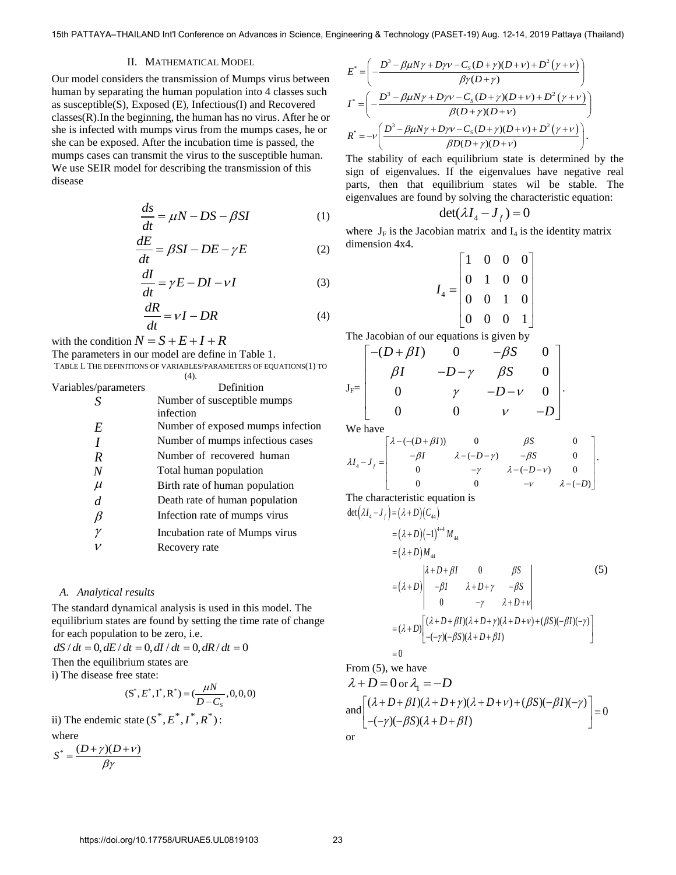15th PATTAYA–THAILAND Int'l Conference on Advances in Science, Engineering & Technology (PASET-19) Aug. 12-14, 2019 Pattaya (Thailand)<br>
II. MATHEMATICAL MODEL<br>  $E^* = \left( -\frac{D^3 - \beta \mu N \gamma + D \gamma \nu - C_s(D + \gamma)(D + \nu) + D^2(\gamma + \nu)}{\rho (D + \nu) +$ 

# II. MATHEMATICAL MODEL

Our model considers the transmission of Mumps virus between human by separating the human population into 4 classes such as susceptible(S), Exposed (E), Infectious(I) and Recovered classes(R).In the beginning, the human has no virus. After he or she is infected with mumps virus from the mumps cases, he or she can be exposed. After the incubation time is passed, the mumps cases can transmit the virus to the susceptible human. We use SEIR model for describing the transmission of this disease

$$
\frac{ds}{dt} = \mu N - DS - \beta SI \tag{1}
$$

$$
\frac{dE}{dt} = \beta SI - DE - \gamma E \tag{2}
$$

$$
\frac{dI}{dt} = \gamma E - DI - vI \tag{3}
$$

$$
\frac{dR}{dt} = vI - DR \tag{4}
$$

with the condition  $N = S + E + I + R$ 

The parameters in our model are define in Table 1. TABLE I. THE DEFINITIONS OF VARIABLES/PARAMETERS OF EQUATIONS(1) TO

|                      | (4).                              |
|----------------------|-----------------------------------|
| Variables/parameters | Definition                        |
|                      | Number of susceptible mumps       |
|                      | infection                         |
| E                    | Number of exposed mumps infection |
|                      | Number of mumps infectious cases  |
| R                    | Number of recovered human         |
| N                    | Total human population            |
| $\mu$                | Birth rate of human population    |
| d                    | Death rate of human population    |
|                      | Infection rate of mumps virus     |
| ν                    | Incubation rate of Mumps virus    |
|                      | Recovery rate                     |

## *A. Analytical results*

The standard dynamical analysis is used in this model. The equilibrium states are found by setting the time rate of change for each population to be zero, i.e.

 $dS/dt = 0, dE/dt = 0, dI/dt = 0, dR/dt = 0$ Then the equilibrium states are i) The disease free state:

$$
(\text{S}^*, E^*, \text{I}^*, \text{R}^*) = (\frac{\mu N}{D - C_s}, 0, 0, 0)
$$

ii) The endemic state 
$$
(S^*, E^*, I^*, R^*)
$$
:  
where

$$
S^* = \frac{(D+\gamma)(D+\nu)}{\beta\gamma}
$$

$$
E^* = \left( -\frac{D^3 - \beta \mu N \gamma + D \gamma \nu - C_S (D + \gamma)(D + \nu) + D^2 (\gamma + \nu)}{\beta \gamma (D + \gamma)} \right)
$$
  
\n
$$
I^* = \left( -\frac{D^3 - \beta \mu N \gamma + D \gamma \nu - C_S (D + \gamma)(D + \nu) + D^2 (\gamma + \nu)}{\beta (D + \gamma)(D + \nu)} \right)
$$
  
\n
$$
R^* = -\nu \left( \frac{D^3 - \beta \mu N \gamma + D \gamma \nu - C_S (D + \gamma)(D + \nu) + D^2 (\gamma + \nu)}{\beta D (D + \gamma)(D + \nu)} \right).
$$

The stability of each equilibrium state is determined by the sign of eigenvalues. If the eigenvalues have negative real parts, then that equilibrium states wil be stable. The eigenvalues are found by solving the characteristic equation:

$$
\det(\lambda I_4 - J_f) = 0
$$

where  $J_F$  is the Jacobian matrix and  $I_4$  is the identity matrix dimension 4x4.

$$
I_4 = \begin{bmatrix} 1 & 0 & 0 & 0 \\ 0 & 1 & 0 & 0 \\ 0 & 0 & 1 & 0 \\ 0 & 0 & 0 & 1 \end{bmatrix}
$$

The Jacobian of our equations is given by  
\n
$$
J_F = \begin{bmatrix}\n-(D + \beta I) & 0 & -\beta S & 0 \\
\beta I & -D - \gamma & \beta S & 0 \\
0 & \gamma & -D - \gamma & 0 \\
0 & 0 & \gamma & -D\n\end{bmatrix}.
$$
\nWe have  
\n
$$
\begin{bmatrix}\n\lambda - (- (D + \beta I)) & 0 & \beta S\n\end{bmatrix}
$$

We have

We have  
\n
$$
\lambda I_4 - J_f = \begin{bmatrix}\n\lambda - (- (D + \beta I)) & 0 & \beta S & 0 \\
-\beta I & \lambda - (-D - \gamma) & -\beta S & 0 \\
0 & -\gamma & \lambda - (-D - \gamma) & 0 \\
0 & 0 & -\gamma & \lambda - (-D)\n\end{bmatrix}.
$$
\nThe characteristic equation is  
\n
$$
\det(\lambda I_4 - J_f) = (\lambda + D)(C_{44})
$$

The characteristic equation is : characteristic equal:<br> $\lambda I_4 - J_f$  =  $(\lambda + D)(C_4)$ 

The characteristic equation is  
\n
$$
\det(\lambda I_4 - J_f) = (\lambda + D)(C_{44})
$$
\n
$$
= (\lambda + D)(-1)^{4+4} M_{44}
$$
\n
$$
= (\lambda + D)M_{44}
$$
\n
$$
= (\lambda + D)^{4+4} M_{44}
$$
\n
$$
= (\lambda + D)^{4+4} M_{44}
$$
\n
$$
= (\lambda + D)^{4+4} M_{44}
$$
\n
$$
= (\lambda + D)^{4+4} M_{44}
$$
\n
$$
= (\lambda + D)^{4+4} M_{44}
$$
\n
$$
= (\lambda + D)^{4+4} M_{44}
$$
\n
$$
= (\lambda + D)^{4+4} M_{44}
$$
\n
$$
= (\lambda + D)^{4+4} M_{44}
$$
\n
$$
= (\lambda + D)^{4+4} M_{44}
$$
\n
$$
= (\lambda + D)^{4+4} M_{44}
$$
\n
$$
= (\lambda + D)^{4+4} M_{44}
$$
\n
$$
= (\lambda + D)^{4+4} M_{44}
$$
\n
$$
= (\lambda + D)^{4+4} M_{44}
$$
\n
$$
= (\lambda + D)^{4+4} M_{44}
$$
\n
$$
= (\lambda + D)^{4+4} M_{44}
$$
\n
$$
= (\lambda + D)^{4+4} M_{44}
$$
\n
$$
= (\lambda + D)^{4+4} M_{44}
$$
\n
$$
= (\lambda + D)^{4+4} M_{44}
$$
\n
$$
= (\lambda + D)^{4+4} M_{44}
$$
\n
$$
= (\lambda + D)^{4+4} M_{44}
$$
\n
$$
= (\lambda + D)^{4+4} M_{44}
$$
\n
$$
= (\lambda + D)^{4+4} M_{44}
$$
\n
$$
= (\lambda + D)^{4+4} M_{44}
$$
\n
$$
= (\lambda + D)^{4+4} M_{44}
$$
\n
$$
= (\lambda + D)^{4+4} M_{44}
$$
\n
$$
= (\lambda + D)^{4+4} M_{44}
$$
\n
$$
= (\lambda + D)^{4+4} M_{44}
$$
\n<math display="</p>

 $=0$ From (5), we have

$$
\lambda + D = 0 \text{ or } \lambda_1 = -D
$$
  
and 
$$
\begin{bmatrix} (\lambda + D + \beta I)(\lambda + D + \gamma)(\lambda + D + \nu) + (\beta S)(-\beta I)(-\gamma) \\ -(-\gamma)(-\beta S)(\lambda + D + \beta I) \end{bmatrix} = 0
$$

$$
\sum_{i=1}^{n} x_i
$$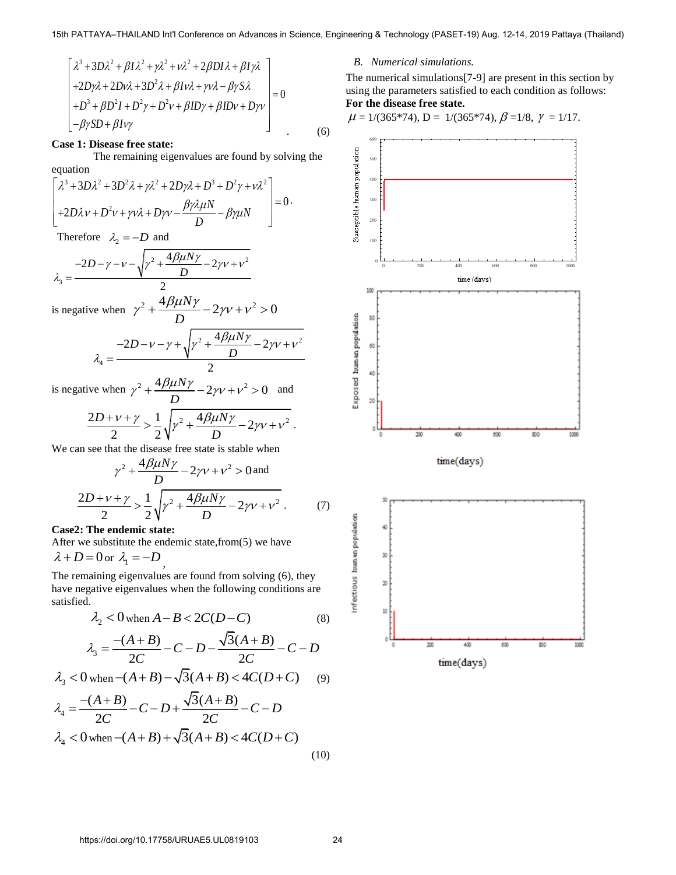$$
\begin{bmatrix}\n\lambda^3 + 3D\lambda^2 + \beta I\lambda^2 + \gamma\lambda^2 + \nu\lambda^2 + 2\beta D I\lambda + \beta I\gamma\lambda \\
+ 2D\gamma\lambda + 2D\nu\lambda + 3D^2\lambda + \beta I\nu\lambda + \gamma\nu\lambda - \beta\gamma S\lambda \\
+ D^3 + \beta D^2 I + D^2\gamma + D^2\nu + \beta I D\gamma + \beta I D\nu + D\gamma\nu\n\end{bmatrix} = 0
$$
\n
$$
-\beta\gamma SD + \beta I\nu\gamma
$$
\n(6)

### **Case 1: Disease free state:**

The remaining eigenvalues are found by solving the<br>  $\left[ \lambda^3 + 3D\lambda^2 + 3D^2\lambda + \gamma\lambda^2 + 2D\gamma\lambda + D^3 + D^2\gamma + \gamma\lambda^2 \right]$ equation vertices<br>  $3 + 3D\lambda^2 + 3D^2\lambda + \nu\lambda^2 + 2D\nu\lambda + D^3 + D^2\nu + \nu\lambda^2$ on<br>3D $\lambda^2$  + 3D<sup>2</sup> $\lambda$  +  $\gamma \lambda^2$  + 2. The remaining eigenvalues are r<br>  $D\lambda^2 + 3D^2\lambda + \gamma\lambda^2 + 2D\gamma\lambda + D^3 + D^2$ 

The remaining eigenvalues are found by solving  
\nequation  
\n
$$
\left[\lambda^3 + 3D\lambda^2 + 3D^2\lambda + \gamma\lambda^2 + 2D\gamma\lambda + D^3 + D^2\gamma + \nu\lambda^2 + D^2\gamma\lambda + D^2\gamma + \gamma\lambda^2 + D\gamma\lambda - \beta\gamma\lambda\mu N - D^2\gamma\lambda\mu N\right] = 0.
$$

Therefore 
$$
\lambda_2 = -D
$$
 and  

$$
-2D - \gamma - \sqrt{\gamma^2 + \frac{4\beta\mu N\gamma}{D} - 2\gamma \nu + \nu^2}
$$

$$
\lambda_3 = \frac{-2D - \gamma - \sqrt{\gamma^2 + \frac{4\beta\mu N\gamma}{D} - 2\gamma \nu + \nu^2}}{2}
$$

is negative when  $\gamma^2 + \frac{4\beta\mu N\gamma}{R} - 2\gamma v + v^2 > 0$ *D*  $\gamma^2 + \frac{4 \beta \mu N \gamma}{D} - 2 \gamma v + v^2 > 0$ 

$$
\lambda_4 = \frac{-2D - \nu - \gamma + \sqrt{\gamma^2 + \frac{4\beta\mu N\gamma}{D} - 2\gamma\nu + \nu^2}}{2}
$$

is negative when  $\gamma^2 + \frac{4\beta\mu N\gamma}{I} - 2\gamma v + v^2 > 0$ *D*  $\gamma^2 + \frac{4\beta\mu N\gamma}{D} - 2\gamma v + v^2 > 0$  and

$$
\frac{2D + \nu + \gamma}{2} > \frac{1}{2} \sqrt{\gamma^2 + \frac{4\beta\mu N\gamma}{D} - 2\gamma\nu + \nu^2}.
$$

We can see that the disease free state is stable when  
\n
$$
\gamma^2 + \frac{4\beta\mu N\gamma}{D} - 2\gamma v + v^2 > 0
$$
 and  
\n
$$
\frac{2D + v + \gamma}{2} > \frac{1}{2}\sqrt{\gamma^2 + \frac{4\beta\mu N\gamma}{D} - 2\gamma v + v^2}
$$
 (7)

**Case2: The endemic state:** 

After we substitute the endemic state,from(5) we have

 $\lambda + D = 0$  or  $\lambda_1 = -D$ ,

The remaining eigenvalues are found from solving (6), they have negative eigenvalues when the following conditions are satisfied.

$$
\lambda_2 < 0 \text{ when } A - B < 2C(D - C) \tag{8}
$$

$$
\lambda_2 < 0 \text{ when } A - B < 2C(D - C) \tag{8}
$$
\n
$$
\lambda_3 = \frac{-(A + B)}{2C} - C - D - \frac{\sqrt{3}(A + B)}{2C} - C - D
$$
\n
$$
\lambda_3 = \frac{-(A + B)}{2C} - C - D - \frac{\sqrt{3}(A + B)}{2C} - C - D
$$
\n
$$
\lambda_3 = \frac{-(A + B)}{2C} - C - D - \frac{\sqrt{3}(A + B)}{2C} - C - D
$$
\n
$$
\lambda_3 = \frac{-(A + B)}{2C} - C - D - \frac{\sqrt{3}(A + B)}{2C} - C - D
$$

$$
\lambda_3 < 0 \text{ when } -(A+B) - \sqrt{3(A+B)} < 4C(D+C) \tag{9}
$$
\n
$$
\lambda_4 = \frac{-(A+B)}{2} - C - D + \frac{\sqrt{3}(A+B)}{2} - C - D
$$

$$
\lambda_3 < 0 \text{ when } -(A+B) - \sqrt{3}(A+B) < 4C(D+C) \qquad (9)
$$
\n
$$
\lambda_4 = \frac{-(A+B)}{2C} - C - D + \frac{\sqrt{3}(A+B)}{2C} - C - D
$$
\n
$$
\lambda_4 < 0 \text{ when } -(A+B) + \sqrt{3}(A+B) < 4C(D+C) \qquad (10)
$$

# *B. Numerical simulations.*

The numerical simulations[7-9] are present in this section by using the parameters satisfied to each condition as follows: **For the disease free state.** 

$$
\mu = 1/(365*74), D = 1/(365*74), \beta = 1/8, \gamma = 1/17.
$$

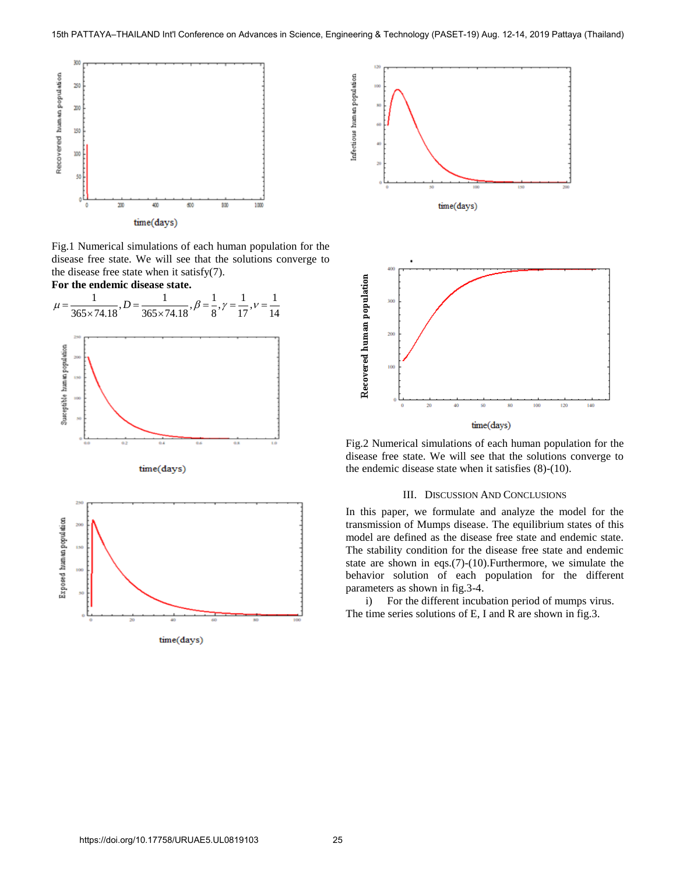

Fig.1 Numerical simulations of each human population for the disease free state. We will see that the solutions converge to the disease free state when it satisfy(7).



time(days)





Fig.2 Numerical simulations of each human population for the disease free state. We will see that the solutions converge to the endemic disease state when it satisfies (8)-(10).

#### III. DISCUSSION AND CONCLUSIONS

In this paper, we formulate and analyze the model for the transmission of Mumps disease. The equilibrium states of this model are defined as the disease free state and endemic state. The stability condition for the disease free state and endemic state are shown in eqs.(7)-(10).Furthermore, we simulate the behavior solution of each population for the different parameters as shown in fig.3-4.

i) For the different incubation period of mumps virus. The time series solutions of E, I and R are shown in fig.3.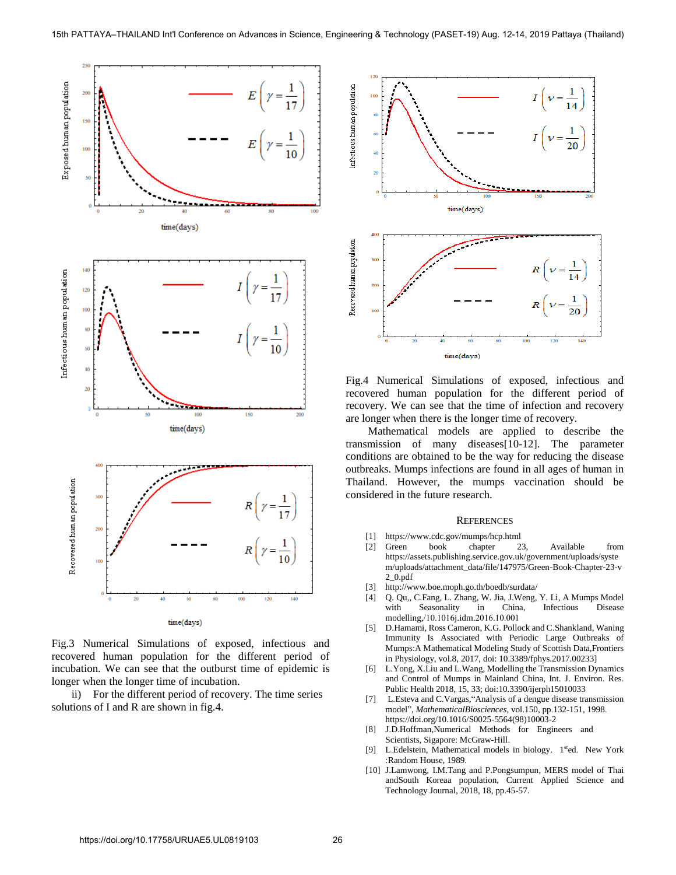

Fig.3 Numerical Simulations of exposed, infectious and recovered human population for the different period of incubation. We can see that the outburst time of epidemic is longer when the longer time of incubation.

ii) For the different period of recovery. The time series solutions of I and R are shown in fig.4.



Fig.4 Numerical Simulations of exposed, infectious and recovered human population for the different period of recovery. We can see that the time of infection and recovery are longer when there is the longer time of recovery.

 Mathematical models are applied to describe the transmission of many diseases[10-12]. The parameter conditions are obtained to be the way for reducing the disease outbreaks. Mumps infections are found in all ages of human in Thailand. However, the mumps vaccination should be considered in the future research.

#### **REFERENCES**

- [1] <https://www.cdc.gov/mumps/hcp.html>
- [2] Green book chapter 23, Available from [https://assets.publishing.service.gov.uk/government/uploads/syste](https://assets.publishing.service.gov.uk/government/uploads/system/uploads/attachment_data/file/147975/Green-Book-Chapter-23-v2_0.pdf) [m/uploads/attachment\\_data/file/147975/Green-Book-Chapter-23-v](https://assets.publishing.service.gov.uk/government/uploads/system/uploads/attachment_data/file/147975/Green-Book-Chapter-23-v2_0.pdf) [2\\_0.pdf](https://assets.publishing.service.gov.uk/government/uploads/system/uploads/attachment_data/file/147975/Green-Book-Chapter-23-v2_0.pdf)
- [3] <http://www.boe.moph.go.th/boedb/surdata/>
- [4] Q. Qu,, C.Fang, L. Zhang, W. Jia, J.Weng, Y. Li, A Mumps Model with Seasonality in China, Infectious Disease modelling,/10.1016j.idm.2016.10.001
- [5] [D.Hamami, Ross Cameron, K.G. Pollock and C.Shankland, Waning](https://doi.org/10.3389/fphys.2017.00233)  [Immunity Is Associated with Periodic Large Outbreaks of](https://doi.org/10.3389/fphys.2017.00233)  [Mumps:A Mathematical Modeling Study of Scottish Data,Frontiers](https://doi.org/10.3389/fphys.2017.00233)  [in Physiology, vol.8, 2017,](https://doi.org/10.3389/fphys.2017.00233) doi: 10.3389/fphys.2017.00233]
- [6] [L.Yong, X.Liu and L.Wang, Modelling the Transmission Dynamics](https://doi.org/10.3390/ijerph15010033)  [and Control of Mumps in Mainland China, Int. J. Environ. Res.](https://doi.org/10.3390/ijerph15010033)  [Public Health 2018,](https://doi.org/10.3390/ijerph15010033) 15, 33; doi:10.3390/ijerph15010033
- [7] L.Esteva and C.Vargas, "Analysis of a dengue disease transmission model", MathematicalBiosciences, vol.150, pp.132-151, 1998. https://doi.org/10.1016/S0025-5564(98)10003-2
- [8] J.D.Hoffman,Numerical Methods for Engineers and Scientists, Sigapore: McGraw-Hill.
- [9] L.Edelstein, Mathematical models in biology. 1<sup>st</sup>ed. New York :Random House, 1989.
- [10] J.Lamwong, I.M.Tang and P.Pongsumpun, MERS model of Thai andSouth Koreaa population, Current Applied Science and Technology Journal, 2018, 18, pp.45-57.